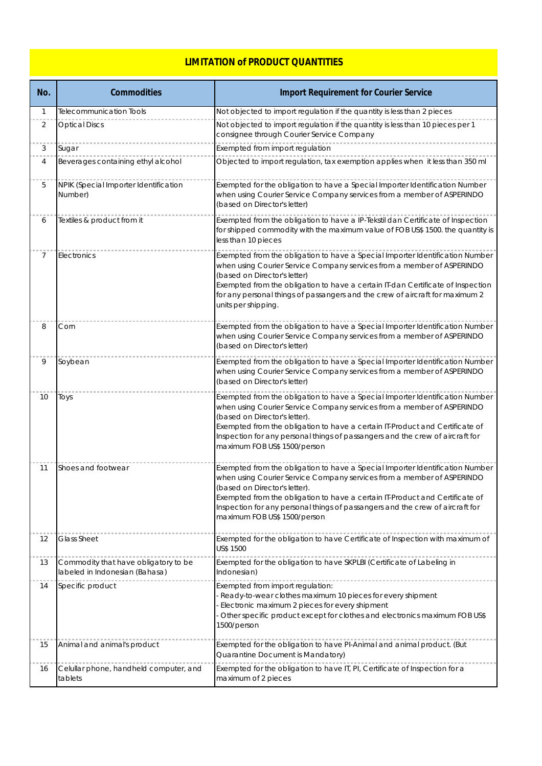## **LIMITATION of PRODUCT QUANTITIES**

| No.          | <b>Commodities</b>                                                     | <b>Import Requirement for Courier Service</b>                                                                                                                                                                                                                                                                                                                                             |
|--------------|------------------------------------------------------------------------|-------------------------------------------------------------------------------------------------------------------------------------------------------------------------------------------------------------------------------------------------------------------------------------------------------------------------------------------------------------------------------------------|
| $\mathbf{1}$ | <b>Telecommunication Tools</b>                                         | Not objected to import regulation if the quantity is less than 2 pieces                                                                                                                                                                                                                                                                                                                   |
| 2            | <b>Optical Discs</b>                                                   | Not objected to import regulation if the quantity is less than 10 pieces per 1<br>consignee through Courier Service Company                                                                                                                                                                                                                                                               |
| 3            | Sugar                                                                  | Exempted from import regulation                                                                                                                                                                                                                                                                                                                                                           |
| 4            | Beverages containing ethyl alcohol                                     | Objected to import regulation, tax exemption applies when it less than 350 ml                                                                                                                                                                                                                                                                                                             |
| 5            | NPIK (Special Importer Identification<br>Number)                       | Exempted for the obligation to have a Special Importer Identification Number<br>when using Courier Service Company services from a member of ASPERINDO<br>(based on Director's letter)                                                                                                                                                                                                    |
| 6            | Textiles & product from it                                             | Exempted from the obligation to have a IP-Tekstil dan Certificate of Inspection<br>for shipped commodity with the maximum value of FOB US\$ 1500. the quantity is<br>less than 10 pieces                                                                                                                                                                                                  |
| 7            | Electronics                                                            | Exempted from the obligation to have a Special Importer Identification Number<br>when using Courier Service Company services from a member of ASPERINDO<br>(based on Director's letter)<br>Exempted from the obligation to have a certain IT-dan Certificate of Inspection<br>for any personal things of passangers and the crew of aircraft for maximum 2<br>units per shipping.         |
| 8            | Corn                                                                   | Exempted from the obligation to have a Special Importer Identification Number<br>when using Courier Service Company services from a member of ASPERINDO<br>(based on Director's letter)                                                                                                                                                                                                   |
| 9            | Soybean                                                                | Exempted from the obligation to have a Special Importer Identification Number<br>when using Courier Service Company services from a member of ASPERINDO<br>(based on Director's letter)                                                                                                                                                                                                   |
| 10           | Toys                                                                   | Exempted from the obligation to have a Special Importer Identification Number<br>when using Courier Service Company services from a member of ASPERINDO<br>(based on Director's letter).<br>Exempted from the obligation to have a certain IT-Product and Certificate of<br>Inspection for any personal things of passangers and the crew of aircraft for<br>maximum FOB US\$ 1500/person |
| 11           | Shoes and footwear                                                     | Exempted from the obligation to have a Special Importer Identification Number<br>when using Courier Service Company services from a member of ASPERINDO<br>(based on Director's letter).<br>Exempted from the obligation to have a certain IT-Product and Certificate of<br>Inspection for any personal things of passangers and the crew of aircraft for<br>maximum FOB US\$ 1500/person |
| 12           | <b>Glass Sheet</b>                                                     | Exempted for the obligation to have Certificate of Inspection with maximum of<br>US\$ 1500                                                                                                                                                                                                                                                                                                |
| 13           | Commodity that have obligatory to be<br>labeled in Indonesian (Bahasa) | Exempted for the obligation to have SKPLBI (Certificate of Labeling in<br>Indonesian)                                                                                                                                                                                                                                                                                                     |
| 14           | Specific product                                                       | Exempted from import regulation:<br>Ready-to-wear clothes maximum 10 pieces for every shipment<br>Electronic maximum 2 pieces for every shipment<br>Other specific product except for clothes and electronics maximum FOB US\$<br>1500/person                                                                                                                                             |
| 15           | Animal and animal's product                                            | Exempted for the obligation to have PI-Animal and animal product. (But<br>Quarantine Document is Mandatory)                                                                                                                                                                                                                                                                               |
| 16           | Celullar phone, handheld computer, and<br>tablets                      | Exempted for the obligation to have IT, PI, Certificate of Inspection for a<br>maximum of 2 pieces                                                                                                                                                                                                                                                                                        |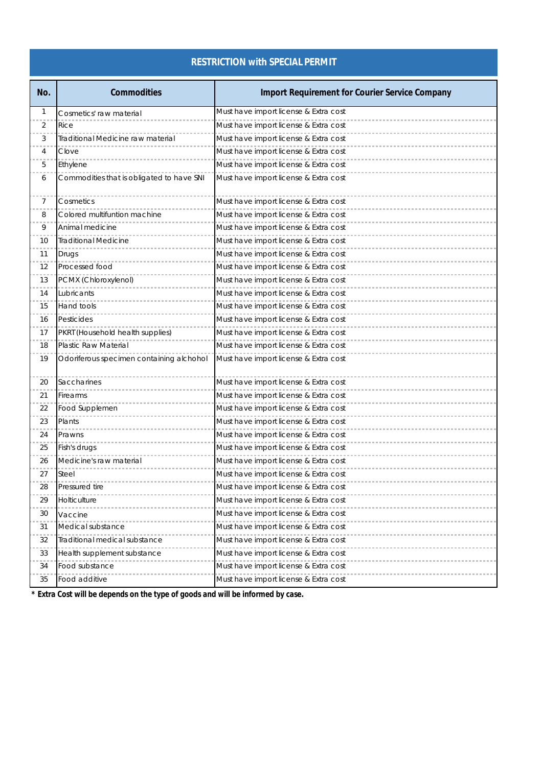## **RESTRICTION with SPECIAL PERMIT**

| No. | <b>Commodities</b>                        | <b>Import Requirement for Courier Service Company</b> |
|-----|-------------------------------------------|-------------------------------------------------------|
| 1   | Cosmetics' raw material                   | Must have import license & Extra cost                 |
| 2   | Rice                                      | Must have import license & Extra cost                 |
| 3   | Traditional Medicine raw material         | Must have import license & Extra cost                 |
| 4   | Clove                                     | Must have import license & Extra cost                 |
| 5   | Ethylene                                  | Must have import license & Extra cost                 |
| 6   | Commodities that is obligated to have SNI | Must have import license & Extra cost                 |
| 7   | Cosmetics                                 | Must have import license & Extra cost                 |
| 8   | Colored multifuntion machine              | Must have import license & Extra cost                 |
| 9   | Animal medicine                           | Must have import license & Extra cost                 |
| 10  | <b>Traditional Medicine</b>               | Must have import license & Extra cost                 |
| 11  | Drugs                                     | Must have import license & Extra cost                 |
| 12  | Processed food                            | Must have import license & Extra cost                 |
| 13  | PCMX (Chloroxylenol)                      | Must have import license & Extra cost                 |
| 14  | Lubricants                                | Must have import license & Extra cost                 |
| 15  | Hand tools                                | Must have import license & Extra cost                 |
| 16  | Pesticides                                | Must have import license & Extra cost                 |
| 17  | PKRT (Household health supplies)          | Must have import license & Extra cost                 |
| 18  | Plastic Raw Material                      | Must have import license & Extra cost                 |
| 19  | Odoriferous specimen containing alchohol  | Must have import license & Extra cost                 |
| 20  | Saccharines                               | Must have import license & Extra cost                 |
| 21  | Firearms                                  | Must have import license & Extra cost                 |
| 22  | Food Supplemen                            | Must have import license & Extra cost                 |
| 23  | Plants                                    | Must have import license & Extra cost                 |
| 24  | Prawns                                    | Must have import license & Extra cost                 |
| 25  | Fish's drugs                              | Must have import license & Extra cost                 |
| 26  | Medicine's raw material                   | Must have import license & Extra cost                 |
| 27  | Steel                                     | Must have import license & Extra cost                 |
| 28  | Pressured tire                            | Must have import license & Extra cost                 |
| 29  | Holticulture                              | Must have import license & Extra cost                 |
| 30  | Vaccine                                   | Must have import license & Extra cost                 |
| 31  | Medical substance                         | Must have import license & Extra cost                 |
| 32  | Traditional medical substance             | Must have import license & Extra cost                 |
| 33  | Health supplement substance               | Must have import license & Extra cost                 |
| 34  | Food substance                            | Must have import license & Extra cost                 |
| 35  | Food additive                             | Must have import license & Extra cost                 |

*\* Extra Cost will be depends on the type of goods and will be informed by case.*